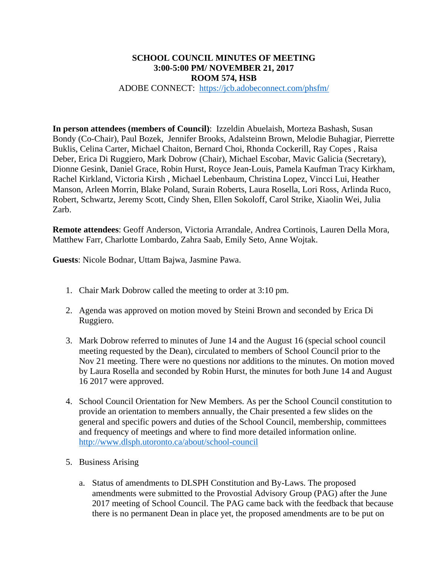### **SCHOOL COUNCIL MINUTES OF MEETING 3:00-5:00 PM/ NOVEMBER 21, 2017 ROOM 574, HSB**

#### ADOBE CONNECT: https://jcb.adobeconnect.com/phsfm/

**In person attendees (members of Council)**: Izzeldin Abuelaish, Morteza Bashash, Susan Bondy (Co-Chair), Paul Bozek, Jennifer Brooks, Adalsteinn Brown, Melodie Buhagiar, Pierrette Buklis, Celina Carter, Michael Chaiton, Bernard Choi, Rhonda Cockerill, Ray Copes , Raisa Deber, Erica Di Ruggiero, Mark Dobrow (Chair), Michael Escobar, Mavic Galicia (Secretary), Dionne Gesink, Daniel Grace, Robin Hurst, Royce Jean-Louis, Pamela Kaufman Tracy Kirkham, Rachel Kirkland, Victoria Kirsh , Michael Lebenbaum, Christina Lopez, Vincci Lui, Heather Manson, Arleen Morrin, Blake Poland, Surain Roberts, Laura Rosella, Lori Ross, Arlinda Ruco, Robert, Schwartz, Jeremy Scott, Cindy Shen, Ellen Sokoloff, Carol Strike, Xiaolin Wei, Julia Zarb.

**Remote attendees**: Geoff Anderson, Victoria Arrandale, Andrea Cortinois, Lauren Della Mora, Matthew Farr, Charlotte Lombardo, Zahra Saab, Emily Seto, Anne Wojtak.

**Guests**: Nicole Bodnar, Uttam Bajwa, Jasmine Pawa.

- 1. Chair Mark Dobrow called the meeting to order at 3:10 pm.
- 2. Agenda was approved on motion moved by Steini Brown and seconded by Erica Di Ruggiero.
- 3. Mark Dobrow referred to minutes of June 14 and the August 16 (special school council meeting requested by the Dean), circulated to members of School Council prior to the Nov 21 meeting. There were no questions nor additions to the minutes. On motion moved by Laura Rosella and seconded by Robin Hurst, the minutes for both June 14 and August 16 2017 were approved.
- 4. School Council Orientation for New Members. As per the School Council constitution to provide an orientation to members annually, the Chair presented a few slides on the general and specific powers and duties of the School Council, membership, committees and frequency of meetings and where to find more detailed information online. http://www.dlsph.utoronto.ca/about/school-council
- 5. Business Arising
	- a. Status of amendments to DLSPH Constitution and By-Laws. The proposed amendments were submitted to the Provostial Advisory Group (PAG) after the June 2017 meeting of School Council. The PAG came back with the feedback that because there is no permanent Dean in place yet, the proposed amendments are to be put on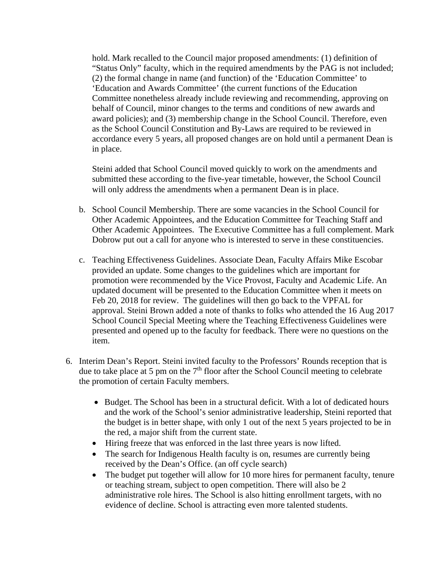hold. Mark recalled to the Council major proposed amendments: (1) definition of "Status Only" faculty, which in the required amendments by the PAG is not included; (2) the formal change in name (and function) of the 'Education Committee' to 'Education and Awards Committee' (the current functions of the Education Committee nonetheless already include reviewing and recommending, approving on behalf of Council, minor changes to the terms and conditions of new awards and award policies); and (3) membership change in the School Council. Therefore, even as the School Council Constitution and By-Laws are required to be reviewed in accordance every 5 years, all proposed changes are on hold until a permanent Dean is in place.

Steini added that School Council moved quickly to work on the amendments and submitted these according to the five-year timetable, however, the School Council will only address the amendments when a permanent Dean is in place.

- b. School Council Membership. There are some vacancies in the School Council for Other Academic Appointees, and the Education Committee for Teaching Staff and Other Academic Appointees. The Executive Committee has a full complement. Mark Dobrow put out a call for anyone who is interested to serve in these constituencies.
- c. Teaching Effectiveness Guidelines. Associate Dean, Faculty Affairs Mike Escobar provided an update. Some changes to the guidelines which are important for promotion were recommended by the Vice Provost, Faculty and Academic Life. An updated document will be presented to the Education Committee when it meets on Feb 20, 2018 for review. The guidelines will then go back to the VPFAL for approval. Steini Brown added a note of thanks to folks who attended the 16 Aug 2017 School Council Special Meeting where the Teaching Effectiveness Guidelines were presented and opened up to the faculty for feedback. There were no questions on the item.
- 6. Interim Dean's Report. Steini invited faculty to the Professors' Rounds reception that is due to take place at 5 pm on the  $7<sup>th</sup>$  floor after the School Council meeting to celebrate the promotion of certain Faculty members.
	- Budget. The School has been in a structural deficit. With a lot of dedicated hours and the work of the School's senior administrative leadership, Steini reported that the budget is in better shape, with only 1 out of the next 5 years projected to be in the red, a major shift from the current state.
	- Hiring freeze that was enforced in the last three years is now lifted.
	- The search for Indigenous Health faculty is on, resumes are currently being received by the Dean's Office. (an off cycle search)
	- The budget put together will allow for 10 more hires for permanent faculty, tenure or teaching stream, subject to open competition. There will also be 2 administrative role hires. The School is also hitting enrollment targets, with no evidence of decline. School is attracting even more talented students.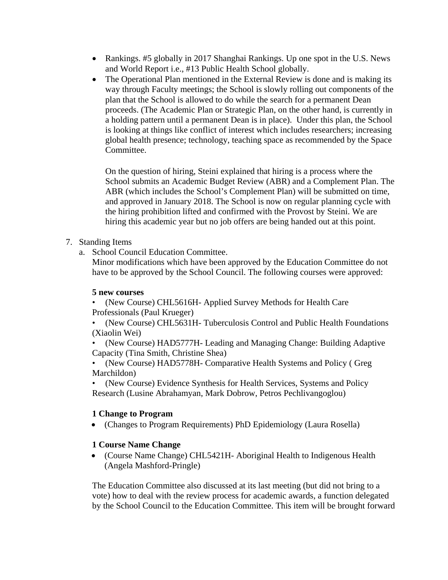- Rankings. #5 globally in 2017 Shanghai Rankings. Up one spot in the U.S. News and World Report i.e., #13 Public Health School globally.
- The Operational Plan mentioned in the External Review is done and is making its way through Faculty meetings; the School is slowly rolling out components of the plan that the School is allowed to do while the search for a permanent Dean proceeds. (The Academic Plan or Strategic Plan, on the other hand, is currently in a holding pattern until a permanent Dean is in place). Under this plan, the School is looking at things like conflict of interest which includes researchers; increasing global health presence; technology, teaching space as recommended by the Space Committee.

On the question of hiring, Steini explained that hiring is a process where the School submits an Academic Budget Review (ABR) and a Complement Plan. The ABR (which includes the School's Complement Plan) will be submitted on time, and approved in January 2018. The School is now on regular planning cycle with the hiring prohibition lifted and confirmed with the Provost by Steini. We are hiring this academic year but no job offers are being handed out at this point.

# 7. Standing Items

a. School Council Education Committee.

Minor modifications which have been approved by the Education Committee do not have to be approved by the School Council. The following courses were approved:

### **5 new courses**

• (New Course) CHL5616H- Applied Survey Methods for Health Care Professionals (Paul Krueger)

• (New Course) CHL5631H- Tuberculosis Control and Public Health Foundations (Xiaolin Wei)

• (New Course) HAD5777H- Leading and Managing Change: Building Adaptive Capacity (Tina Smith, Christine Shea)

• (New Course) HAD5778H- Comparative Health Systems and Policy ( Greg Marchildon)

• (New Course) Evidence Synthesis for Health Services, Systems and Policy Research (Lusine Abrahamyan, Mark Dobrow, Petros Pechlivangoglou)

# **1 Change to Program**

(Changes to Program Requirements) PhD Epidemiology (Laura Rosella)

# **1 Course Name Change**

 (Course Name Change) CHL5421H- Aboriginal Health to Indigenous Health (Angela Mashford-Pringle)

The Education Committee also discussed at its last meeting (but did not bring to a vote) how to deal with the review process for academic awards, a function delegated by the School Council to the Education Committee. This item will be brought forward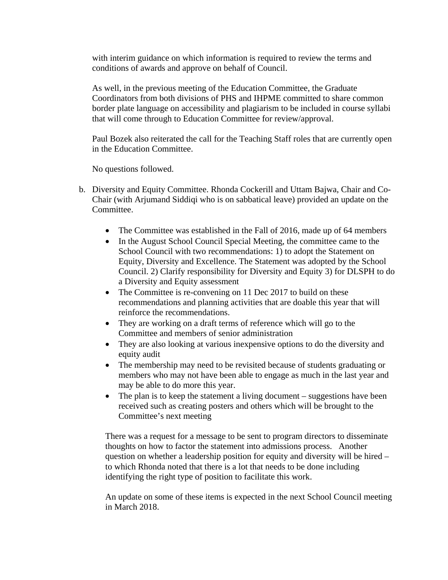with interim guidance on which information is required to review the terms and conditions of awards and approve on behalf of Council.

As well, in the previous meeting of the Education Committee, the Graduate Coordinators from both divisions of PHS and IHPME committed to share common border plate language on accessibility and plagiarism to be included in course syllabi that will come through to Education Committee for review/approval.

Paul Bozek also reiterated the call for the Teaching Staff roles that are currently open in the Education Committee.

No questions followed.

- b. Diversity and Equity Committee. Rhonda Cockerill and Uttam Bajwa, Chair and Co-Chair (with Arjumand Siddiqi who is on sabbatical leave) provided an update on the Committee.
	- The Committee was established in the Fall of 2016, made up of 64 members
	- In the August School Council Special Meeting, the committee came to the School Council with two recommendations: 1) to adopt the Statement on Equity, Diversity and Excellence. The Statement was adopted by the School Council. 2) Clarify responsibility for Diversity and Equity 3) for DLSPH to do a Diversity and Equity assessment
	- The Committee is re-convening on 11 Dec 2017 to build on these recommendations and planning activities that are doable this year that will reinforce the recommendations.
	- They are working on a draft terms of reference which will go to the Committee and members of senior administration
	- They are also looking at various inexpensive options to do the diversity and equity audit
	- The membership may need to be revisited because of students graduating or members who may not have been able to engage as much in the last year and may be able to do more this year.
	- The plan is to keep the statement a living document suggestions have been received such as creating posters and others which will be brought to the Committee's next meeting

There was a request for a message to be sent to program directors to disseminate thoughts on how to factor the statement into admissions process. Another question on whether a leadership position for equity and diversity will be hired – to which Rhonda noted that there is a lot that needs to be done including identifying the right type of position to facilitate this work.

An update on some of these items is expected in the next School Council meeting in March 2018.